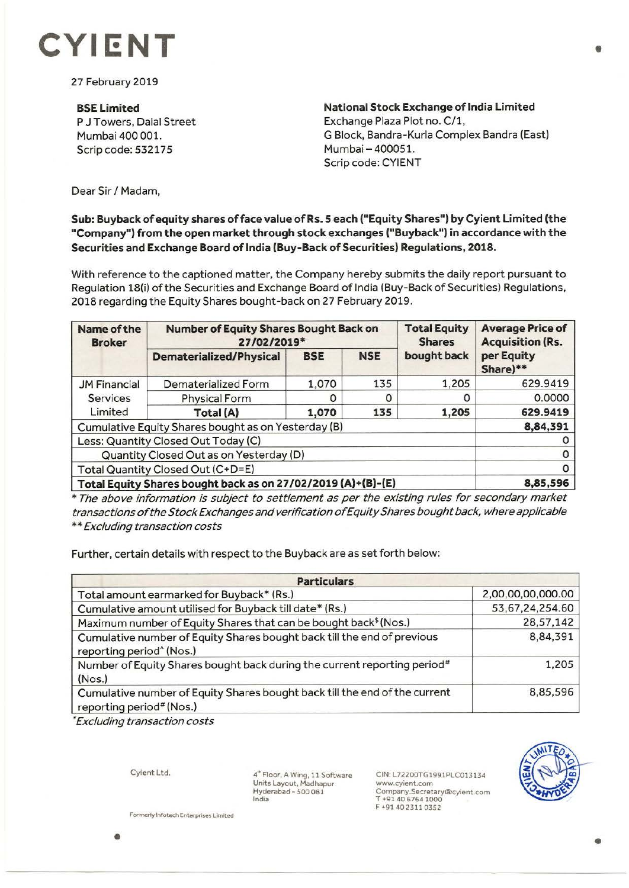

27 February 2019

**BSE Limited**  P J Towers, Dalal Street Mumbai 400 001. Scrip code: 532175

**National Stock Exchange of India Limited**  Exchange Plaza Plot no. C/1, G Block, Bandra-Kurla Complex Sandra (East) Mumbai - 400051. Scrip code: CYIENT

Dear Sir/ Madam,

## **Sub: Buyback of equity shares of face value of Rs. S each ("Equity Shares") by Cyient Limited (the "Company") from the open market through stock exchanges ("Buyback") in accordance with the Securities and Exchange Board oflndia (Buy-Back of Securities) Regulations, 2018.**

With reference to the captioned matter, the Company hereby submits the daily report pursuant to Regulation 18(i) of the Securities and Exchange Board of India (Buy-Back of Securities) Regulations, 2018 regarding the Equity Shares bought-back on 27 February 2019.

| <b>Name of the</b><br><b>Broker</b>                          | <b>Number of Equity Shares Bought Back on</b><br>27/02/2019* |            |            | <b>Total Equity</b><br><b>Shares</b> | <b>Average Price of</b><br><b>Acquisition (Rs.</b> |
|--------------------------------------------------------------|--------------------------------------------------------------|------------|------------|--------------------------------------|----------------------------------------------------|
|                                                              | <b>Dematerialized/Physical</b>                               | <b>BSE</b> | <b>NSE</b> | bought back                          | per Equity<br>Share)**                             |
| <b>JM Financial</b><br>Services<br>Limited                   | Dematerialized Form                                          | 1,070      | 135        | 1,205                                | 629.9419                                           |
|                                                              | <b>Physical Form</b>                                         | O          | O          |                                      | 0.0000                                             |
|                                                              | Total (A)                                                    | 1,070      | 135        | 1,205                                | 629.9419                                           |
| Cumulative Equity Shares bought as on Yesterday (B)          |                                                              |            |            |                                      | 8,84,391                                           |
| Less: Quantity Closed Out Today (C)                          |                                                              |            |            |                                      |                                                    |
| Quantity Closed Out as on Yesterday (D)                      |                                                              |            |            |                                      |                                                    |
| Total Quantity Closed Out (C+D=E)                            |                                                              |            |            |                                      | 0                                                  |
| Total Equity Shares bought back as on 27/02/2019 (A)+(B)-(E) |                                                              |            |            |                                      | 8,85,596                                           |

\* The above information is subject to settlement as per the existing rules for secondary market transactions of the Stock Exchanges and verification of Equity Shares bought back, where applicable \*\* Excluding transaction costs

Further, certain details with respect to the Buyback are as set forth below:

| <b>Particulars</b>                                                                                              |                   |  |  |  |
|-----------------------------------------------------------------------------------------------------------------|-------------------|--|--|--|
| Total amount earmarked for Buyback* (Rs.)                                                                       | 2,00,00,00,000.00 |  |  |  |
| Cumulative amount utilised for Buyback till date* (Rs.)                                                         | 53,67,24,254.60   |  |  |  |
| Maximum number of Equity Shares that can be bought back <sup>\$</sup> (Nos.)                                    | 28,57,142         |  |  |  |
| Cumulative number of Equity Shares bought back till the end of previous<br>reporting period <sup>^</sup> (Nos.) | 8,84,391          |  |  |  |
| Number of Equity Shares bought back during the current reporting period#<br>(Nos.)                              | 1,205             |  |  |  |
| Cumulative number of Equity Shares bought back till the end of the current<br>reporting period# (Nos.)          | 8,85,596          |  |  |  |

• Excluding transaction costs

Cyient Ltd.

**4"'** Floor, **A** Wing, 11 Software Units Layout, Madhapur<br>Hyderabad - 500 081 India

CIN: L72200TG1991PLC013134 www.cyient.com Company.Secretary®cyient.ccm T +91 40 6764 1000 F +914023110352



**Formerly Infotech Enterprises Limited** 

•